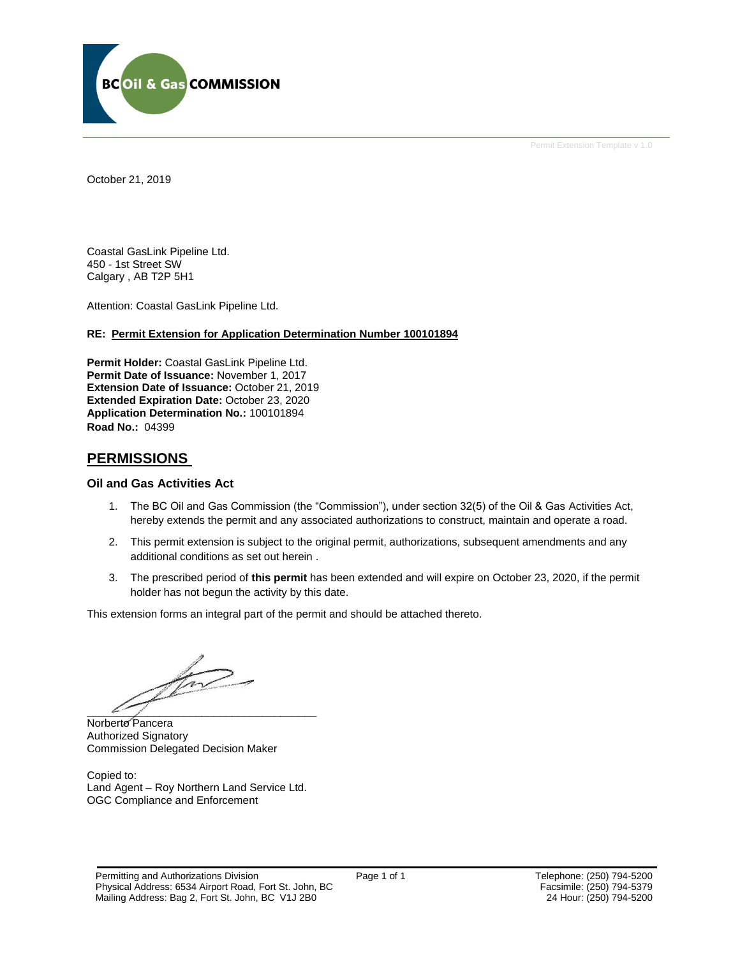

Permit Extension Template v 1.0

October 21, 2019

Coastal GasLink Pipeline Ltd. 450 - 1st Street SW Calgary , AB T2P 5H1

Attention: Coastal GasLink Pipeline Ltd.

#### **RE: Permit Extension for Application Determination Number 100101894**

**Permit Holder:** Coastal GasLink Pipeline Ltd. **Permit Date of Issuance:** November 1, 2017 **Extension Date of Issuance:** October 21, 2019 **Extended Expiration Date:** October 23, 2020 **Application Determination No.:** 100101894 **Road No.:** 04399

## **PERMISSIONS**

#### **Oil and Gas Activities Act**

- 1. The BC Oil and Gas Commission (the "Commission"), under section 32(5) of the Oil & Gas Activities Act, hereby extends the permit and any associated authorizations to construct, maintain and operate a road.
- 2. This permit extension is subject to the original permit, authorizations, subsequent amendments and any additional conditions as set out herein .
- 3. The prescribed period of **this permit** has been extended and will expire on October 23, 2020, if the permit holder has not begun the activity by this date.

This extension forms an integral part of the permit and should be attached thereto.

 $\mathbb{Z}$ 

Norberto Pancera Authorized Signatory Commission Delegated Decision Maker

Copied to: Land Agent – Roy Northern Land Service Ltd. OGC Compliance and Enforcement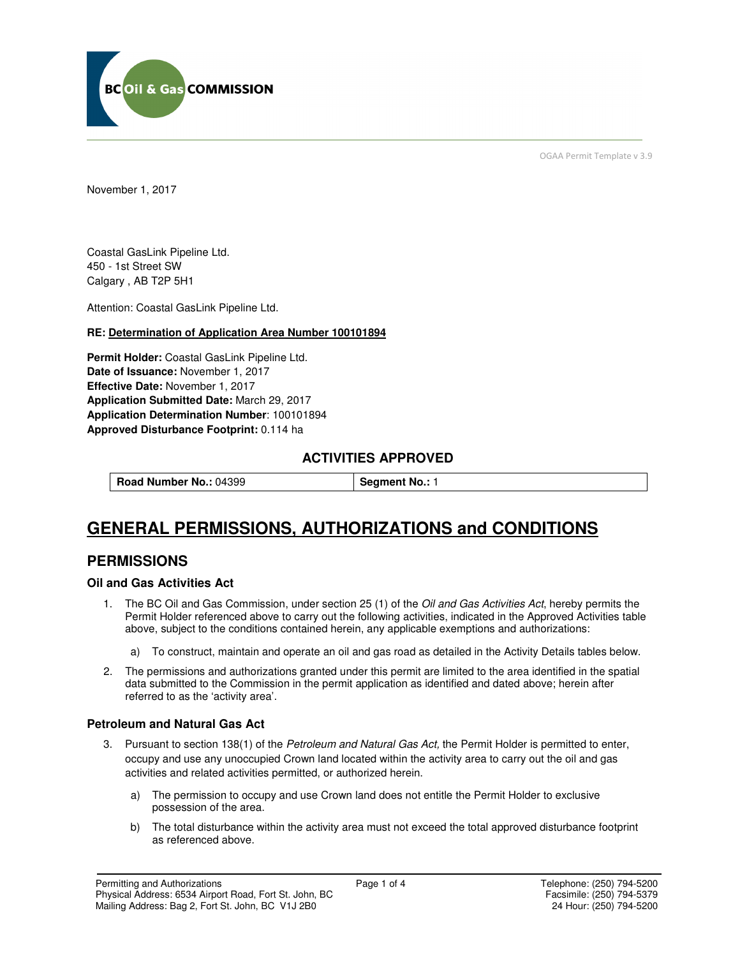

OGAA Permit Template v 3.9

November 1, 2017

Coastal GasLink Pipeline Ltd. 450 - 1st Street SW Calgary , AB T2P 5H1

Attention: Coastal GasLink Pipeline Ltd.

#### **RE: Determination of Application Area Number 100101894**

**Permit Holder:** Coastal GasLink Pipeline Ltd. **Date of Issuance:** November 1, 2017 **Effective Date:** November 1, 2017 **Application Submitted Date:** March 29, 2017 **Application Determination Number**: 100101894 **Approved Disturbance Footprint:** 0.114 ha

## **ACTIVITIES APPROVED**

**Road Number No.: 04399 <b>Segment No.: 1** 

# **GENERAL PERMISSIONS, AUTHORIZATIONS and CONDITIONS**

## **PERMISSIONS**

#### **Oil and Gas Activities Act**

- 1. The BC Oil and Gas Commission, under section 25 (1) of the Oil and Gas Activities Act, hereby permits the Permit Holder referenced above to carry out the following activities, indicated in the Approved Activities table above, subject to the conditions contained herein, any applicable exemptions and authorizations:
	- a) To construct, maintain and operate an oil and gas road as detailed in the Activity Details tables below.
- 2. The permissions and authorizations granted under this permit are limited to the area identified in the spatial data submitted to the Commission in the permit application as identified and dated above; herein after referred to as the 'activity area'.

#### **Petroleum and Natural Gas Act**

- 3. Pursuant to section 138(1) of the Petroleum and Natural Gas Act, the Permit Holder is permitted to enter, occupy and use any unoccupied Crown land located within the activity area to carry out the oil and gas activities and related activities permitted, or authorized herein.
	- a) The permission to occupy and use Crown land does not entitle the Permit Holder to exclusive possession of the area.
	- b) The total disturbance within the activity area must not exceed the total approved disturbance footprint as referenced above.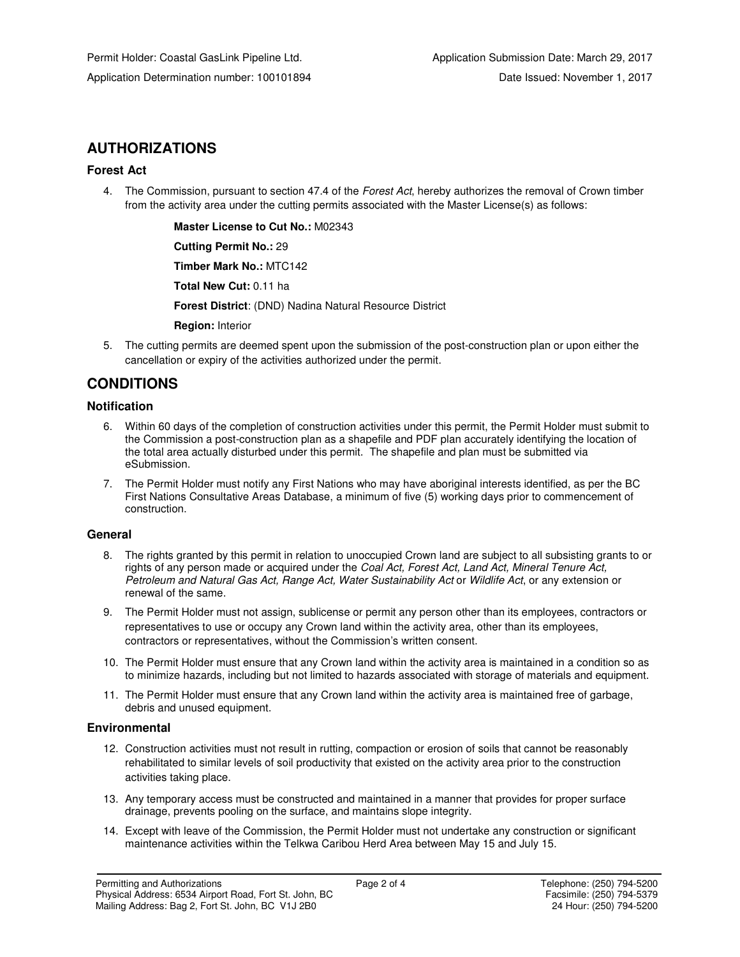## **AUTHORIZATIONS**

## **Forest Act**

4. The Commission, pursuant to section 47.4 of the Forest Act, hereby authorizes the removal of Crown timber from the activity area under the cutting permits associated with the Master License(s) as follows:

> **Master License to Cut No.:** M02343  **Cutting Permit No.:** 29  **Timber Mark No.:** MTC142  **Total New Cut:** 0.11 ha  **Forest District**: (DND) Nadina Natural Resource District  **Region:** Interior

5. The cutting permits are deemed spent upon the submission of the post-construction plan or upon either the cancellation or expiry of the activities authorized under the permit.

## **CONDITIONS**

## **Notification**

- 6. Within 60 days of the completion of construction activities under this permit, the Permit Holder must submit to the Commission a post-construction plan as a shapefile and PDF plan accurately identifying the location of the total area actually disturbed under this permit. The shapefile and plan must be submitted via eSubmission.
- 7. The Permit Holder must notify any First Nations who may have aboriginal interests identified, as per the BC First Nations Consultative Areas Database, a minimum of five (5) working days prior to commencement of construction.

### **General**

- 8. The rights granted by this permit in relation to unoccupied Crown land are subject to all subsisting grants to or rights of any person made or acquired under the *Coal Act, Forest Act, Land Act, Mineral Tenure Act*, Petroleum and Natural Gas Act, Range Act, Water Sustainability Act or Wildlife Act, or any extension or renewal of the same.
- 9. The Permit Holder must not assign, sublicense or permit any person other than its employees, contractors or representatives to use or occupy any Crown land within the activity area, other than its employees, contractors or representatives, without the Commission's written consent.
- 10. The Permit Holder must ensure that any Crown land within the activity area is maintained in a condition so as to minimize hazards, including but not limited to hazards associated with storage of materials and equipment.
- 11. The Permit Holder must ensure that any Crown land within the activity area is maintained free of garbage, debris and unused equipment.

### **Environmental**

- 12. Construction activities must not result in rutting, compaction or erosion of soils that cannot be reasonably rehabilitated to similar levels of soil productivity that existed on the activity area prior to the construction activities taking place.
- 13. Any temporary access must be constructed and maintained in a manner that provides for proper surface drainage, prevents pooling on the surface, and maintains slope integrity.
- 14. Except with leave of the Commission, the Permit Holder must not undertake any construction or significant maintenance activities within the Telkwa Caribou Herd Area between May 15 and July 15.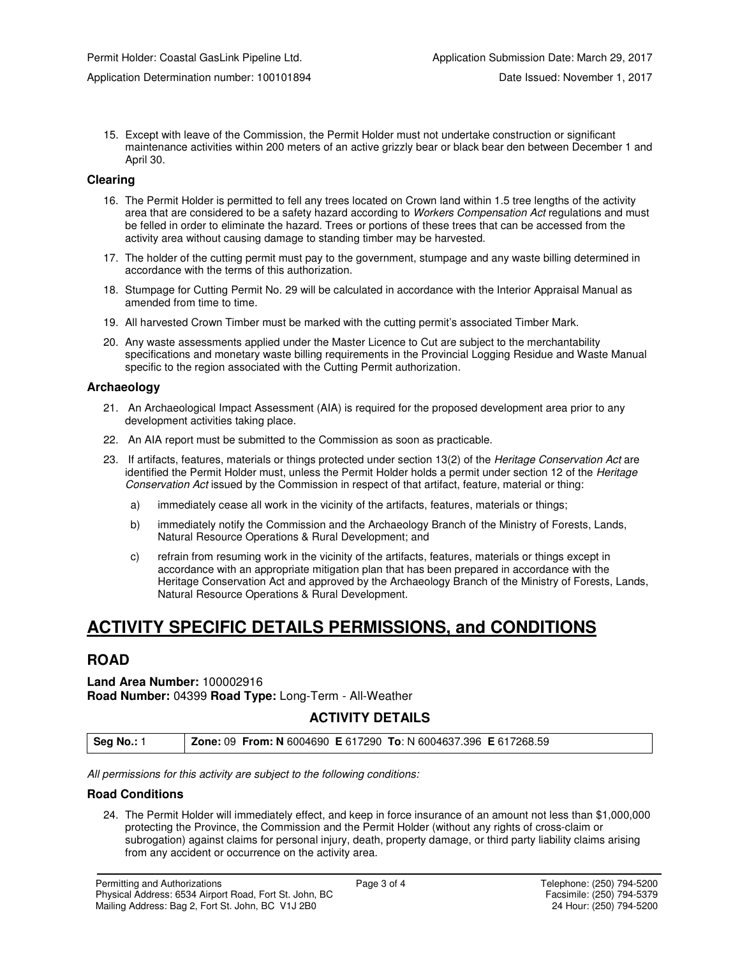15. Except with leave of the Commission, the Permit Holder must not undertake construction or significant maintenance activities within 200 meters of an active grizzly bear or black bear den between December 1 and April 30.

#### **Clearing**

- 16. The Permit Holder is permitted to fell any trees located on Crown land within 1.5 tree lengths of the activity area that are considered to be a safety hazard according to Workers Compensation Act regulations and must be felled in order to eliminate the hazard. Trees or portions of these trees that can be accessed from the activity area without causing damage to standing timber may be harvested.
- 17. The holder of the cutting permit must pay to the government, stumpage and any waste billing determined in accordance with the terms of this authorization.
- 18. Stumpage for Cutting Permit No. 29 will be calculated in accordance with the Interior Appraisal Manual as amended from time to time.
- 19. All harvested Crown Timber must be marked with the cutting permit's associated Timber Mark.
- 20. Any waste assessments applied under the Master Licence to Cut are subject to the merchantability specifications and monetary waste billing requirements in the Provincial Logging Residue and Waste Manual specific to the region associated with the Cutting Permit authorization.

#### **Archaeology**

- 21. An Archaeological Impact Assessment (AIA) is required for the proposed development area prior to any development activities taking place.
- 22. An AIA report must be submitted to the Commission as soon as practicable.
- 23. If artifacts, features, materials or things protected under section 13(2) of the Heritage Conservation Act are identified the Permit Holder must, unless the Permit Holder holds a permit under section 12 of the Heritage Conservation Act issued by the Commission in respect of that artifact, feature, material or thing:
	- a) immediately cease all work in the vicinity of the artifacts, features, materials or things;
	- b) immediately notify the Commission and the Archaeology Branch of the Ministry of Forests, Lands, Natural Resource Operations & Rural Development; and
	- c) refrain from resuming work in the vicinity of the artifacts, features, materials or things except in accordance with an appropriate mitigation plan that has been prepared in accordance with the Heritage Conservation Act and approved by the Archaeology Branch of the Ministry of Forests, Lands, Natural Resource Operations & Rural Development.

## **ACTIVITY SPECIFIC DETAILS PERMISSIONS, and CONDITIONS**

### **ROAD**

**Land Area Number:** 100002916 **Road Number:** 04399 **Road Type:** Long-Term - All-Weather

### **ACTIVITY DETAILS**

**Seg No.:** 1 **Zone:** 09 **From: N** 6004690 **E** 617290 **To**: N 6004637.396 **E** 617268.59

All permissions for this activity are subject to the following conditions:

#### **Road Conditions**

24. The Permit Holder will immediately effect, and keep in force insurance of an amount not less than \$1,000,000 protecting the Province, the Commission and the Permit Holder (without any rights of cross-claim or subrogation) against claims for personal injury, death, property damage, or third party liability claims arising from any accident or occurrence on the activity area.